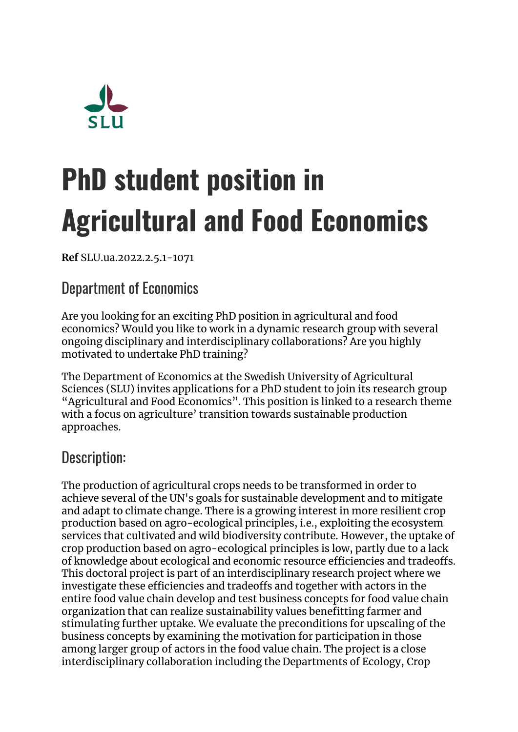

# **PhD student position in Agricultural and Food Economics**

**Ref** SLU.ua.2022.2.5.1-1071

# Department of Economics

Are you looking for an exciting PhD position in agricultural and food economics? Would you like to work in a dynamic research group with several ongoing disciplinary and interdisciplinary collaborations? Are you highly motivated to undertake PhD training?

The Department of Economics at the Swedish University of Agricultural Sciences (SLU) invites applications for a PhD student to join its research group "Agricultural and Food Economics". This position is linked to a research theme with a focus on agriculture' transition towards sustainable production approaches.

#### Description:

The production of agricultural crops needs to be transformed in order to achieve several of the UN's goals for sustainable development and to mitigate and adapt to climate change. There is a growing interest in more resilient crop production based on agro-ecological principles, i.e., exploiting the ecosystem services that cultivated and wild biodiversity contribute. However, the uptake of crop production based on agro-ecological principles is low, partly due to a lack of knowledge about ecological and economic resource efficiencies and tradeoffs. This doctoral project is part of an interdisciplinary research project where we investigate these efficiencies and tradeoffs and together with actors in the entire food value chain develop and test business concepts for food value chain organization that can realize sustainability values benefitting farmer and stimulating further uptake. We evaluate the preconditions for upscaling of the business concepts by examining the motivation for participation in those among larger group of actors in the food value chain. The project is a close interdisciplinary collaboration including the Departments of Ecology, Crop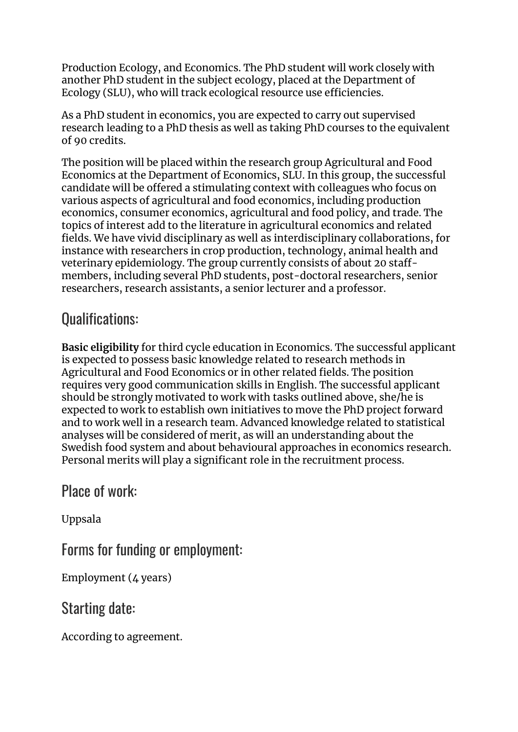Production Ecology, and Economics. The PhD student will work closely with another PhD student in the subject ecology, placed at the Department of Ecology (SLU), who will track ecological resource use efficiencies.

As a PhD student in economics, you are expected to carry out supervised research leading to a PhD thesis as well as taking PhD courses to the equivalent of 90 credits.

The position will be placed within the research group Agricultural and Food Economics at the Department of Economics, SLU. In this group, the successful candidate will be offered a stimulating context with colleagues who focus on various aspects of agricultural and food economics, including production economics, consumer economics, agricultural and food policy, and trade. The topics of interest add to the literature in agricultural economics and related fields. We have vivid disciplinary as well as interdisciplinary collaborations, for instance with researchers in crop production, technology, animal health and veterinary epidemiology. The group currently consists of about 20 staffmembers, including several PhD students, post-doctoral researchers, senior researchers, research assistants, a senior lecturer and a professor.

# Qualifications:

**Basic eligibility** for third cycle education in Economics. The successful applicant is expected to possess basic knowledge related to research methods in Agricultural and Food Economics or in other related fields. The position requires very good communication skills in English. The successful applicant should be strongly motivated to work with tasks outlined above, she/he is expected to work to establish own initiatives to move the PhD project forward and to work well in a research team. Advanced knowledge related to statistical analyses will be considered of merit, as will an understanding about the Swedish food system and about behavioural approaches in economics research. Personal merits will play a significant role in the recruitment process.

### Place of work:

Uppsala

Forms for funding or employment:

Employment (4 years)

Starting date:

According to agreement.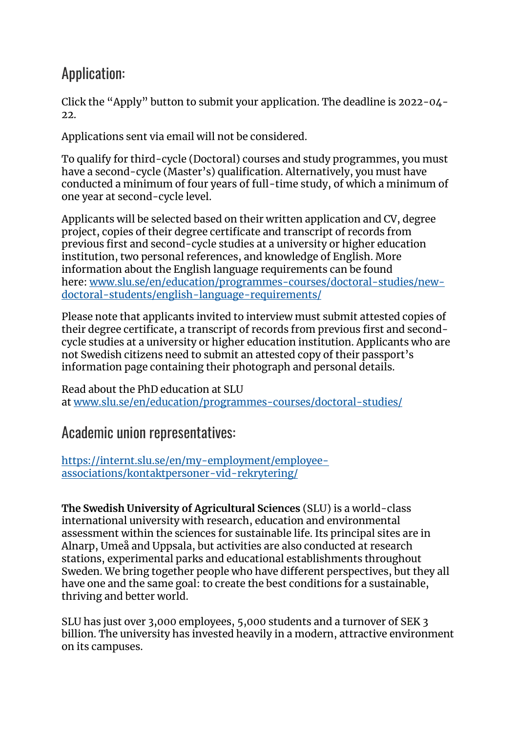# Application:

Click the "Apply" button to submit your application. The deadline is 2022-04-  $2.2<sub>1</sub>$ 

Applications sent via email will not be considered.

To qualify for third-cycle (Doctoral) courses and study programmes, you must have a second-cycle (Master's) qualification. Alternatively, you must have conducted a minimum of four years of full-time study, of which a minimum of one year at second-cycle level.

Applicants will be selected based on their written application and CV, degree project, copies of their degree certificate and transcript of records from previous first and second-cycle studies at a university or higher education institution, two personal references, and knowledge of English. More information about the English language requirements can be found here: [www.slu.se/en/education/programmes-courses/doctoral-studies/new](http://www.slu.se/en/education/programmes-courses/doctoral-studies/new-doctoral-students/english-language-requirements/)[doctoral-students/english-language-requirements/](http://www.slu.se/en/education/programmes-courses/doctoral-studies/new-doctoral-students/english-language-requirements/)

Please note that applicants invited to interview must submit attested copies of their degree certificate, a transcript of records from previous first and secondcycle studies at a university or higher education institution. Applicants who are not Swedish citizens need to submit an attested copy of their passport's information page containing their photograph and personal details.

Read about the PhD education at SLU at [www.slu.se/en/education/programmes-courses/doctoral-studies/](https://www.slu.se/en/education/programmes-courses/doctoral-studies/)

#### Academic union representatives:

[https://internt.slu.se/en/my-employment/employee](https://internt.slu.se/en/my-employment/employee-associations/kontaktpersoner-vid-rekrytering/)[associations/kontaktpersoner-vid-rekrytering/](https://internt.slu.se/en/my-employment/employee-associations/kontaktpersoner-vid-rekrytering/)

**The Swedish University of Agricultural Sciences** (SLU) is a world-class international university with research, education and environmental assessment within the sciences for sustainable life. Its principal sites are in Alnarp, Umeå and Uppsala, but activities are also conducted at research stations, experimental parks and educational establishments throughout Sweden. We bring together people who have different perspectives, but they all have one and the same goal: to create the best conditions for a sustainable, thriving and better world.

SLU has just over 3,000 employees, 5,000 students and a turnover of SEK 3 billion. The university has invested heavily in a modern, attractive environment on its campuses.